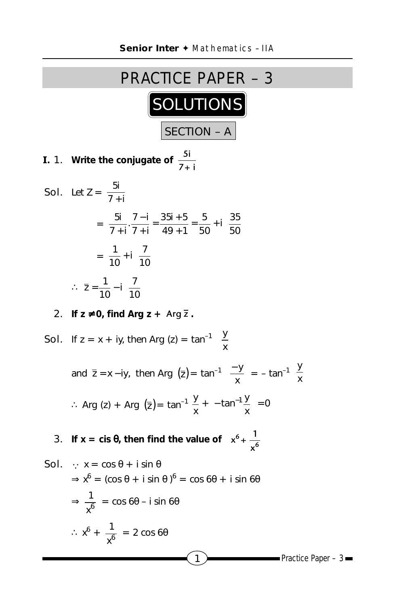

**I.** 1. Write the conjugate of  $\frac{5i}{7+i}$ 

**Sol.** Let 
$$
Z = \frac{5i}{7+i}
$$
  
\n
$$
= \frac{5i}{7+i} \cdot \frac{7-i}{7+i} = \frac{35i+5}{49+1} = \frac{5}{50} + i\left(\frac{35}{50}\right)
$$
\n
$$
= \frac{1}{10} + i\left(\frac{7}{10}\right)
$$
\n
$$
\therefore \ \overline{z} = \frac{1}{10} - i\left(\frac{7}{10}\right)
$$

2. **If**  $z \neq 0$ , find Arg  $z + \text{Arg } \overline{z}$ .

**Sol.** If 
$$
z = x + iy
$$
, then  $Arg(z) = tan^{-1} \left(\frac{y}{x}\right)$   
\nand  $\overline{z} = x - iy$ , then  $Arg(\overline{z}) = tan^{-1} \left(\frac{-y}{x}\right) = -tan^{-1} \left(\frac{y}{x}\right)$   
\n $\therefore Arg(z) + Arg(\overline{z}) = tan^{-1} \frac{y}{x} + \left(-tan^{-1} \frac{y}{x}\right) = 0$   
\n**3.** If  $x = cis \theta$ , then find the value of  $\left(x^6 + \frac{1}{x^6}\right)$   
\n**Sol.**  $\therefore x = cos \theta + i sin \theta$   
\n $\Rightarrow x^6 = (cos \theta + i sin \theta)^6 = cos 6\theta + i sin 6\theta$   
\n $\Rightarrow \frac{1}{x^6} = cos 6\theta - i sin 6\theta$   
\n $\therefore x^6 + \frac{1}{x^6} = 2 cos 6\theta$ 

1  $\overline{\phantom{a}}$  Practice Paper – 3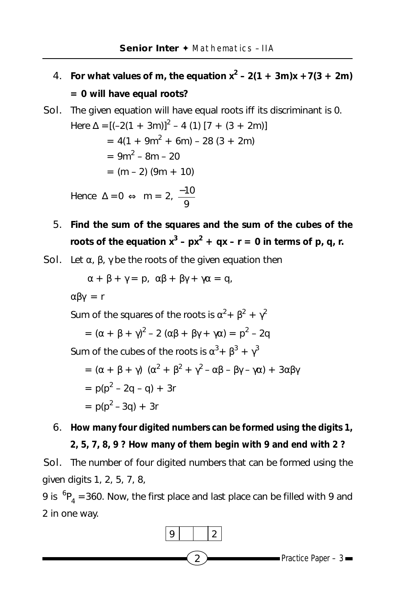- 4. For what values of m, the equation  $x^2 2(1 + 3m)x + 7(3 + 2m)$ **= 0 will have equal roots?**
- Sol. The given equation will have equal roots iff its discriminant is 0.

Here 
$$
\Delta = [(-2(1 + 3m))^2 - 4 (1) [7 + (3 + 2m)]
$$
  
\n $= 4(1 + 9m^2 + 6m) - 28 (3 + 2m)$   
\n $= 9m^2 - 8m - 20$   
\n $= (m - 2) (9m + 10)$   
\nHence  $\Delta = 0 \Leftrightarrow m = 2, \frac{-10}{9}$ 

5. **Find the sum of the squares and the sum of the cubes of the** roots of the equation  $x^3 - px^2 + qx - r = 0$  in terms of p, q, r.

Sol. Let  $\alpha$ ,  $\beta$ ,  $\gamma$  be the roots of the given equation then

$$
\alpha + \beta + \gamma = p, \ \alpha\beta + \beta\gamma + \gamma\alpha = q,
$$

αβγ = r

Sum of the squares of the roots is  $\alpha^2 + \beta^2 + \gamma^2$ 

$$
= (\alpha + \beta + \gamma)^2 - 2 (\alpha \beta + \beta \gamma + \gamma \alpha) = p^2 - 2q
$$

Sum of the cubes of the roots is  $\alpha^3 + \beta^3 + \gamma^3$ 

$$
= (\alpha + \beta + \gamma) (\alpha^2 + \beta^2 + \gamma^2 - \alpha \beta - \beta \gamma - \gamma \alpha) + 3\alpha\beta\gamma
$$
  
=  $p(p^2 - 2q - q) + 3r$   
=  $p(p^2 - 3q) + 3r$ 

6. **How many four digited numbers can be formed using the digits 1, 2, 5, 7, 8, 9 ? How many of them begin with 9 and end with 2 ?**

Sol. The number of four digited numbers that can be formed using the given digits 1, 2, 5, 7, 8,

9 is  ${}^{6}P_4$  =360. Now, the first place and last place can be filled with 9 and 2 in one way.

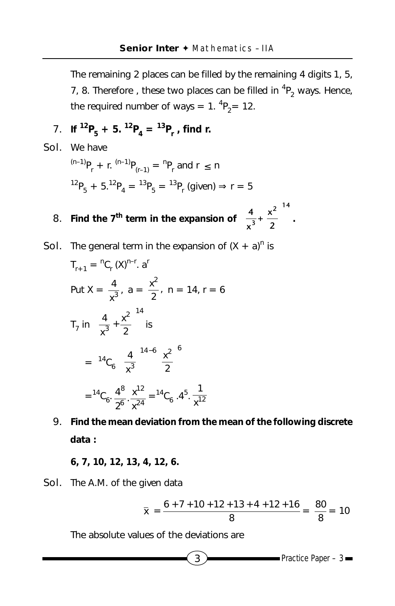The remaining 2 places can be filled by the remaining 4 digits 1, 5, 7, 8. Therefore, these two places can be filled in  ${}^{4}P_{2}$  ways. Hence, the required number of ways =  $1. \, {}^{4}P_{2}$  = 12.

- **7.** If  ${}^{12}P_5 + 5$ .  ${}^{12}P_4 = {}^{13}P_r$ , find r.
- Sol. We have  ${}^{(n-1)}P_r$  + r.  ${}^{(n-1)}P_{(r-1)}$  =  ${}^{n}P_r$  and r  $\leq$  n  $^{12}P_5 + 5.^{12}P_4 = ^{13}P_5 = ^{13}P_r$  (given)  $\Rightarrow$  r = 5 **8.** Find the 7<sup>th</sup> term in the expansion of  $\left|\frac{4}{3} + \frac{x^2}{2}\right|$  $\left[\overline{x^3}^+ \ \overline{2}\right]$  $2<sup>14</sup>$ **3**  $\frac{4}{x^3} + \frac{x^2}{2}$  . **Sol.** The general term in the expansion of  $(X + a)^n$  is  $T_{r+1} = {}^{n}C_{r} (X)^{n-r}. a^{r}$

Put 
$$
X = \frac{4}{x^3}
$$
,  $a = \frac{x^2}{2}$ ,  $n = 14$ ,  $r = 6$   
\n
$$
T_7 \text{ in } \left(\frac{4}{x^3} + \frac{x^2}{2}\right)^{14} \text{ is}
$$
\n
$$
= {}^{14}C_6 \left(\frac{4}{x^3}\right)^{14-6} \left(\frac{x^2}{2}\right)^6
$$
\n
$$
= {}^{14}C_6 \cdot \frac{4^8}{2^6} \cdot \frac{x^{12}}{x^{24}} = {}^{14}C_6 \cdot 4^5 \cdot \frac{1}{x^{12}}
$$

9. **Find the mean deviation from the mean of the following discrete data :**

**6, 7, 10, 12, 13, 4, 12, 6.**

Sol. The A.M. of the given data

$$
\overline{x} = \frac{6 + 7 + 10 + 12 + 13 + 4 + 12 + 16}{8} = \frac{80}{8} = 10
$$

The absolute values of the deviations are

$$
\bullet \hspace{2.0cm} \text{Practice Paper - 3} \textcolor{red}{\blacksquare}
$$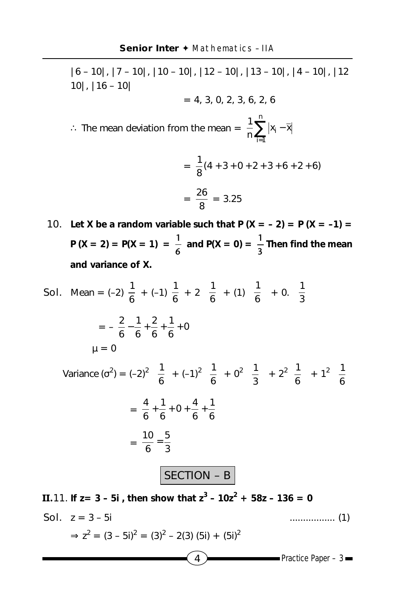|6 – 10|, |7 – 10|, |10 – 10|, |12 – 10|, |13 – 10|, |4 – 10|, |12 10|, |16 – 10|  $= 4, 3, 0, 2, 3, 6, 2, 6$ ∴ The mean deviation from the mean =  $\frac{1}{n} \sum_{i=1}^n |x_i$ n i=1  $\frac{1}{n}$   $\sum_{i=1}^n |x_i - \overline{x}|$ 1  $=\frac{1}{8}(4 + 3 + 0 + 2 + 3 + 6 + 2 + 6)$  $=\frac{26}{8} = 3.25$ **10.** Let X be a random variable such that  $P(X = -2) = P(X = -1) =$ **P** (**X** = 2) = **P**(**X** = 1) =  $\frac{1}{6}$  and **P**(**X** = 0) =  $\frac{1}{3}$  Then find the mean

**and variance of X.**

**Sol.** Mean = (-2) 
$$
\frac{1}{6}
$$
 + (-1)  $\frac{1}{6}$  + 2  $(\frac{1}{6})$  + (1)  $(\frac{1}{6})$  + 0.  $(\frac{1}{3})$   
\n=  $-\frac{2}{6} - \frac{1}{6} + \frac{2}{6} + \frac{1}{6}$  + 0  
\n $\mu = 0$   
\nVariance  $(\sigma^2) = (-2)^2 (\frac{1}{6}) + (-1)^2 (\frac{1}{6}) + 0^2 (\frac{1}{3}) + 2^2 (\frac{1}{6}) + 1^2 (\frac{1}{6})$   
\n=  $\frac{4}{6} + \frac{1}{6} + 0 + \frac{4}{6} + \frac{1}{6}$   
\n=  $\frac{10}{6} = \frac{5}{3}$   
\n**SECTION - B**

 $4$  Practice Paper – 3 **II.11.** If  $z = 3 - 5i$ , then show that  $z^3 - 10z^2 + 58z - 136 = 0$ Sol. z = 3 – 5i ................. (1)  $\Rightarrow$  z<sup>2</sup> = (3 – 5i)<sup>2</sup> = (3)<sup>2</sup> – 2(3) (5i) + (5i)<sup>2</sup>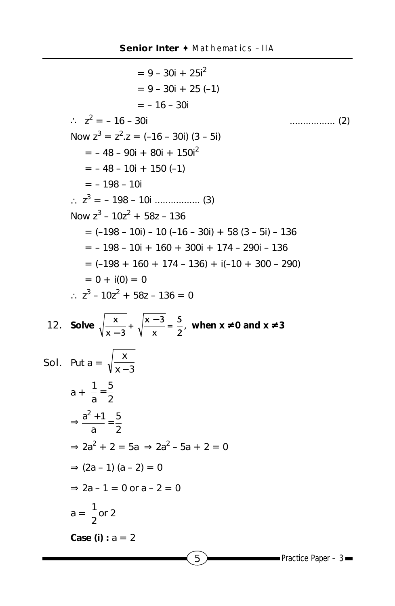```
\overline{5} Practice Paper – 3
                           = 9 - 30i + 25i^{2}= 9 - 30i + 25(-1)= -16 - 30i\frac{1}{2} = -16 - 30i
                                                                          . . . . . . . . . . . . . . . . . . . (2)
       Now z^3 = z^2.z = (-16 - 30i) (3 - 5i)= -48 - 90i + 80i + 150i^{2}= -48 - 10i + 150(-1)= -198 - 10i∴ z3
= – 198 – 10i ................. (3)
       Now z^3 - 10z^2 + 58z - 136= (-198 - 10i) - 10 (-16 - 30i) + 58 (3 - 5i) - 136= -198 - 10i + 160 + 300i + 174 - 290i - 136= (-198 + 160 + 174 - 136) + i(-10 + 300 - 290)= 0 + i(0) = 0∴ z^3 - 10z^2 + 58z - 136 = 012. Solve \sqrt{\frac{x}{x-3}} + \sqrt{\frac{x-3}{x}} = \frac{5}{2}, when x \ne 0 and x \ne 3Sol. Put a = \sqrt{\frac{a}{x-3}}x
                       −
       a + \frac{1}{a} = \frac{3}{2}5
             \frac{1}{a} =
       \Rightarrow \frac{a+1}{a} = \frac{3}{2}5
             a
           \frac{a^2+1}{a} =
       \Rightarrow 2a<sup>2</sup> + 2 = 5a \Rightarrow 2a<sup>2</sup> - 5a + 2 = 0
      \Rightarrow (2a – 1) (a – 2) = 0
      \Rightarrow 2a – 1 = 0 or a – 2 = 0
       a = \frac{1}{2} or 2
      Case (i) : a = 2
```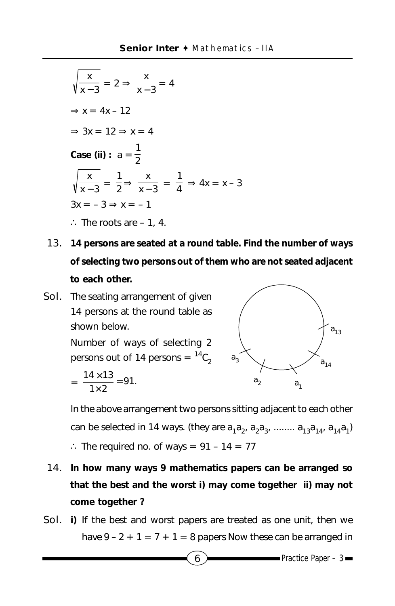$$
\sqrt{\frac{x}{x-3}} = 2 \Rightarrow \frac{x}{x-3} = 4
$$
  
\n
$$
\Rightarrow x = 4x - 12
$$
  
\n
$$
\Rightarrow 3x = 12 \Rightarrow x = 4
$$
  
\nCase (ii):  $a = \frac{1}{2}$   
\n
$$
\sqrt{\frac{x}{x-3}} = \frac{1}{2} \Rightarrow \frac{x}{x-3} = \frac{1}{4} \Rightarrow 4x = x - 3
$$
  
\n
$$
3x = -3 \Rightarrow x = -1
$$
  
\n
$$
\therefore \text{ The roots are } -1, 4.
$$

- 13. **14 persons are seated at a round table. Find the number of ways of selecting two persons out of them who are not seated adjacent to each other.**
- Sol. The seating arrangement of given 14 persons at the round table as shown below.

Number of ways of selecting 2 persons out of 14 persons =  ${}^{14}C_2$ 

$$
=\frac{14\times13}{1\times2}=91.
$$



In the above arrangement two persons sitting adjacent to each other can be selected in 14 ways. (they are  $a_1a_2, a_2a_3, \ldots a_{13}a_{14}, a_{14}a_1$ )

∴ The required no. of ways =  $91 - 14 = 77$ 

- 14. **In how many ways 9 mathematics papers can be arranged so that the best and the worst i) may come together ii) may not come together ?**
- Sol. **i)** If the best and worst papers are treated as one unit, then we have  $9 - 2 + 1 = 7 + 1 = 8$  papers Now these can be arranged in

 $\bullet$  Practice Paper – 3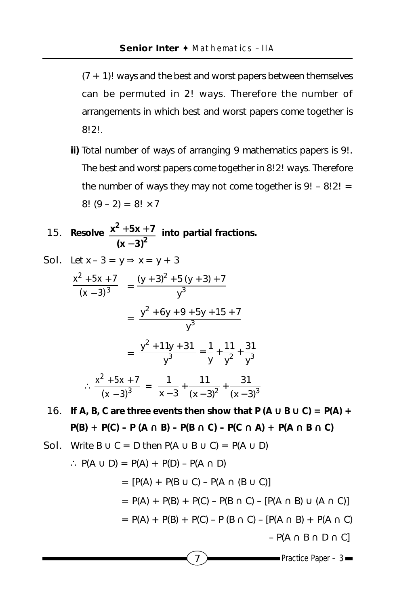$(7 + 1)!$  ways and the best and worst papers between themselves can be permuted in 2! ways. Therefore the number of arrangements in which best and worst papers come together is 8!2!.

**ii)** Total number of ways of arranging 9 mathematics papers is 9!. The best and worst papers come together in 8!2! ways. Therefore the number of ways they may not come together is  $9! - 8!2! =$ 8!  $(9 - 2) = 8! \times 7$ 

15. Resolve 
$$
\frac{x^2 + 5x + 7}{(x - 3)^2}
$$
 into partial fractions.

**Sol.** Let 
$$
x - 3 = y \Rightarrow x = y + 3
$$
  
\n
$$
\frac{x^2 + 5x + 7}{(x - 3)^3} = \frac{(y + 3)^2 + 5(y + 3) + 7}{y^3}
$$
\n
$$
= \frac{y^2 + 6y + 9 + 5y + 15 + 7}{y^3}
$$
\n
$$
= \frac{y^2 + 11y + 31}{y^3} = \frac{1}{y} + \frac{11}{y^2} + \frac{31}{y^3}
$$
\n
$$
\therefore \frac{x^2 + 5x + 7}{(x - 3)^3} = \frac{1}{x - 3} + \frac{11}{(x - 3)^2} + \frac{31}{(x - 3)^3}
$$

**16.** If A, B, C are three events then show that P  $(A \cup B \cup C) = P(A) + P(B \cup C)$ **P(B) + P(C) – P (A** ∩ **B) – P(B** ∩ **C) – P(C** ∩ **A) + P(A** ∩ **B** ∩ **C)**

 $7$  Practice Paper – 3 **Sol.** Write B  $\cup$  C = D then P(A  $\cup$  B  $\cup$  C) = P(A  $\cup$  D) ∴ P(A  $\cup$  D) = P(A) + P(D) – P(A  $\cap$  D)  $= [P(A) + P(B \cup C) - P(A \cap (B \cup C)]$  $= P(A) + P(B) + P(C) - P(B \cap C) - [P(A \cap B) \cup (A \cap C)]$  $= P(A) + P(B) + P(C) - P(B \cap C) - [P(A \cap B) + P(A \cap C)]$  $-P(A \cap B \cap D \cap C]$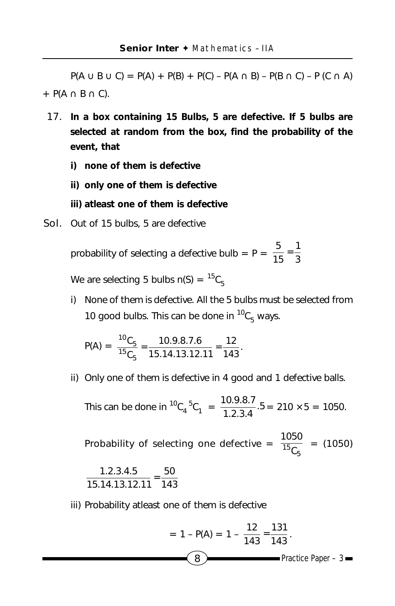$P(A \cup B \cup C) = P(A) + P(B) + P(C) - P(A \cap B) - P(B \cap C) - P(C \cap A)$ +  $P(A \cap B \cap C)$ .

- 17. **In a box containing 15 Bulbs, 5 are defective. If 5 bulbs are selected at random from the box, find the probability of the event, that**
	- **i) none of them is defective**
	- **ii) only one of them is defective**
	- **iii) atleast one of them is defective**
- Sol. Out of 15 bulbs, 5 are defective

probability of selecting a defective bulb = P =  $\frac{5}{15} = \frac{1}{3}$  $\frac{5}{15}$  =

We are selecting 5 bulbs  $n(S) = {}^{15}C_F$ 

i) None of them is defective. All the 5 bulbs must be selected from 10 good bulbs. This can be done in  ${}^{10}C_5$  ways.

$$
P(A) = \frac{{}^{10}C_5}{{}^{15}C_5} = \frac{10.9.8.7.6}{{}15.14.13.12.11} = \frac{12}{143}.
$$

ii) Only one of them is defective in 4 good and 1 defective balls.

This can be done in  ${}^{10}C_4$ <sup>5</sup>C<sub>1</sub> =  $\frac{10.9.67}{1.2.3.4}$ .5  $\frac{10.9.8.7}{1.3.8.4}$ . 5 = 210 × 5 = 1050.

Probability of selecting one defective =  $\frac{1050}{^{15}C_5}$  = (1050)

$$
\frac{1.2.3.4.5}{15.14.13.12.11} = \frac{50}{143}
$$

iii) Probability atleast one of them is defective

= 1 - P(A) = 1 - 
$$
\frac{12}{143} = \frac{131}{143}
$$
.  
Practice Paper – 3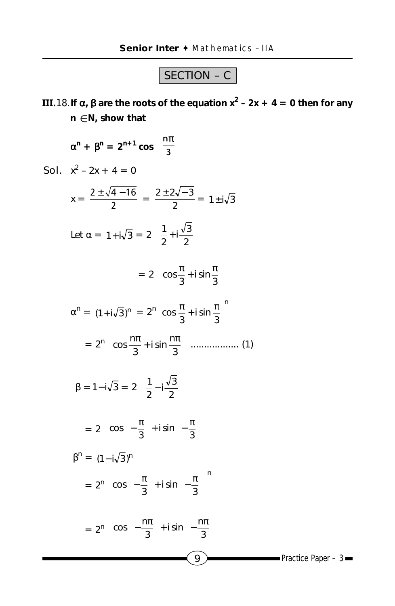## SECTION – C

**III.**18.**If** α**,** β **are the roots of the equation x<sup>2</sup> – 2x + 4 = 0 then for any n** ∈ **N, show that**

$$
\alpha^{n} + \beta^{n} = 2^{n+1} \cos \left( \frac{n\pi}{3} \right)
$$
  
\n**Sol.**  $x^{2} - 2x + 4 = 0$   
\n $x = \frac{2 \pm \sqrt{4 - 16}}{2} = \frac{2 \pm 2\sqrt{-3}}{2} = 1 \pm i\sqrt{3}$   
\nLet  $\alpha = 1 + i\sqrt{3} = 2 \left( \frac{1}{2} + i\frac{\sqrt{3}}{2} \right)$   
\n $= 2 \left( \cos \frac{\pi}{3} + i \sin \frac{\pi}{3} \right)$   
\n $\alpha^{n} = (1 + i\sqrt{3})^{n} = 2^{n} \left( \cos \frac{\pi}{3} + i \sin \frac{\pi}{3} \right)^{n}$   
\n $= 2^{n} \left( \cos \frac{n\pi}{3} + i \sin \frac{n\pi}{3} \right)$ ........(1)  
\n $\beta = 1 - i\sqrt{3} = 2 \left( \frac{1}{2} - i\frac{\sqrt{3}}{2} \right)$   
\n $= 2 \left( \cos \left( -\frac{\pi}{3} \right) + i \sin \left( -\frac{\pi}{3} \right) \right)$   
\n $\beta^{n} = (1 - i\sqrt{3})^{n}$   
\n $= 2^{n} \left( \cos \left( -\frac{\pi}{3} \right) + i \sin \left( -\frac{\pi}{3} \right) \right)^{n}$   
\n $= 2^{n} \left( \cos \left( -\frac{n\pi}{3} \right) + i \sin \left( -\frac{n\pi}{3} \right) \right)$ 

Practice Paper –  $3 \equiv$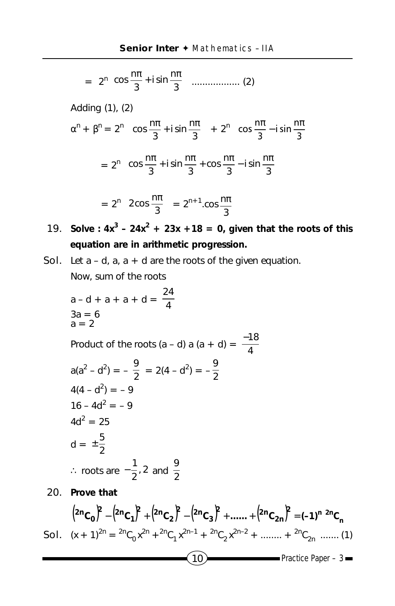$$
= 2^{n}\left(\cos\frac{n\pi}{3} + i\sin\frac{n\pi}{3}\right) \dots \dots \dots \dots \dots \dots \quad (2)
$$

Adding (1), (2)

**20.** 

$$
\alpha^{n} + \beta^{n} = 2^{n} \left( \cos \frac{n\pi}{3} + i \sin \frac{n\pi}{3} \right) + 2^{n} \left( \cos \frac{n\pi}{3} - i \sin \frac{n\pi}{3} \right)
$$

$$
= 2^{n} \left( \cos \frac{n\pi}{3} + i \sin \frac{n\pi}{3} + \cos \frac{n\pi}{3} - i \sin \frac{n\pi}{3} \right)
$$

$$
=2^{n}\left(2\cos\frac{n\pi}{3}\right)=2^{n+1}\cos\frac{n\pi}{3}
$$

- **19.** Solve :  $4x^3 24x^2 + 23x + 18 = 0$ , given that the roots of this **equation are in arithmetic progression.**
- **Sol.** Let  $a d$ ,  $a$ ,  $a + d$  are the roots of the given equation. Now, sum of the roots

a-d + a + a + d = 
$$
\frac{24}{4}
$$
  
\n3a = 6  
\na = 2  
\nProduct of the roots (a - d) a (a + d) =  $\frac{-18}{4}$   
\n
$$
a(a^2 - d^2) = -\frac{9}{2} = 2(4 - d^2) = -\frac{9}{2}
$$
\n
$$
4(4 - d^2) = -9
$$
\n
$$
16 - 4d^2 = -9
$$
\n
$$
4d^2 = 25
$$
\n
$$
d = \pm \frac{5}{2}
$$
\n
$$
\therefore \text{ roots are } -\frac{1}{2}, 2 \text{ and } \frac{9}{2}
$$
\nProve that

$$
(2^{n}C_{0})^{2} - (2^{n}C_{1})^{2} + (2^{n}C_{2})^{2} - (2^{n}C_{3})^{2} + \dots + (2^{n}C_{2n})^{2} = (-1)^{n} {}^{2n}C_{n}
$$
  
**Sol.**  $(x + 1)^{2n} = {}^{2n}C_{0}x^{2n} + {}^{2n}C_{1}x^{2n-1} + {}^{2n}C_{2}x^{2n-2} + \dots + {}^{2n}C_{2n} \dots (1)$   
**Sol.**  $(x + 1)^{2n} = {}^{2n}C_{0}x^{2n} + {}^{2n}C_{1}x^{2n-1} + {}^{2n}C_{2}x^{2n-2} + \dots + {}^{2n}C_{2n} \dots (1)$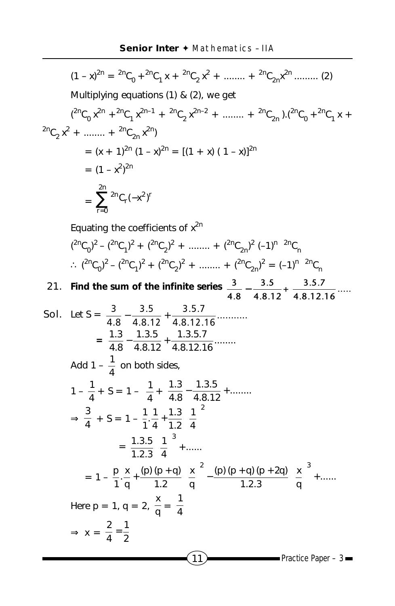$$
(1 - x)^{2n} = {}^{2n}C_0 + {}^{2n}C_1 x + {}^{2n}C_2 x^2 + \dots + {}^{2n}C_{2n}x^{2n} + \dots
$$
\n
$$
(2)
$$
\nMultiplying equations (1) & (2), we get\n
$$
({}^{2n}C_0 x^{2n} + {}^{2n}C_1 x^{2n-1} + {}^{2n}C_2 x^{2n-2} + \dots + {}^{2n}C_{2n}).({}^{2n}C_0 + {}^{2n}C_1 x + {}^{2n}C_{2n} x^2 - {}^{2n}C_1 x + {}^{2n}C_{2n} x^2 - {}^{2n}C_2 x^2 - {}^{2n}C_2 x^2 - {}^{2n}C_2 x^2 - {}^{2n}C_2 x^2 - {}^{2n}C_2 x^2 - {}^{2n}C_2 x^2 - {}^{2n}C_2 x^2 - {}^{2n}C_2 x^2 - {}^{2n}C_2 x^2 - {}^{2n}C_2 x^2 - {}^{2n}C_2 x^2 - {}^{2n}C_2 x^2 - {}^{2n}C_2 x^2 - {}^{2n}C_2 x^2 - {}^{2n}C_2 x^2 - {}^{2n}C_2 x^2 - {}^{2n}C_2 x^2 - {}^{2n}C_2 x^2 - {}^{2n}C_2 x^2 - {}^{2n}C_2 x^2 - {}^{2n}C_2 x^2 - {}^{2n}C_2 x^2 - {}^{2n}C_2 x^2 - {}^{2n}C_2 x^2 - {}^{2n}C_2 x^2 - {}^{2n}C_2 x^2 - {}^{2n}C_2 x^2 - {}^{2n}C_2 x^2 - {}^{2n}C_2 x^2 - {}^{2n}C_2 x^2 - {}^{2n}C_2 x^2 - {}^{2n}C_2 x^2 - {}^{2n}C_2 x^2 - {}^{2n}C_2 x^2 - {}^{2n}C_2 x^2 - {}^{2n}C_2 x^2 - {}^{2n}C_2 x^2 - {}^{2n}C_2 x^2 - {}^{2n}C_2 x^2 - {}^{2n}C_2 x^2 - {}^{2n}C_2 x^2 - {}^{2n}C_2 x^2 - {}^{2n}C_2 x^2 - {}^{2n}C_2 x^2 - {}^{2n}C_2 x^2 - {}^{2n}C
$$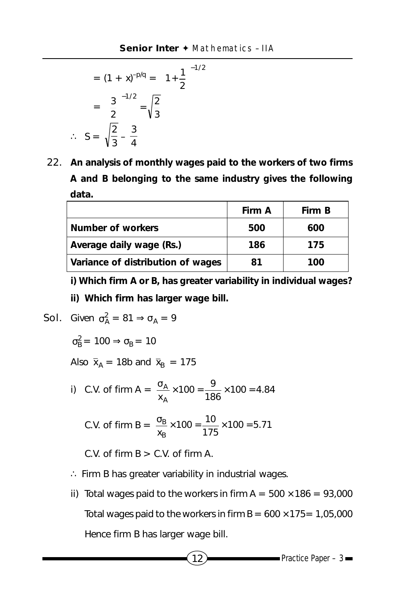$$
= (1 + x)^{-p/q} = \left(1 + \frac{1}{2}\right)^{-1/2}
$$

$$
= \left(\frac{3}{2}\right)^{-1/2} = \sqrt{\frac{2}{3}}
$$

$$
\therefore S = \sqrt{\frac{2}{3}} - \frac{3}{4}
$$

22. **An analysis of monthly wages paid to the workers of two firms A and B belonging to the same industry gives the following data.**

|                                   | Firm A | Firm B |
|-----------------------------------|--------|--------|
| Number of workers                 | 500    | 600    |
| Average daily wage (Rs.)          | 186    | 175    |
| Variance of distribution of wages | 81     | 100    |

**i) Which firm A or B, has greater variability in individual wages?**

**ii) Which firm has larger wage bill.**

**Sol.** Given 
$$
\sigma_A^2 = 81 \Rightarrow \sigma_A = 9
$$

 $\sigma_{\rm B}^2$  = 100  $\Rightarrow \sigma_{\rm B}$  = 10

Also  $\bar{x}_A$  = 18b and  $\bar{x}_B$  = 175

i) C.V. of firm A =  $\frac{\sigma_A}{x_A} \times 100 = \frac{9}{186} \times 100 = 4.84$ xA  $\frac{\sigma_{\rm A}}{2} \times 100 = \frac{9}{100} \times 100 =$ 

C.V. of firm B = 
$$
\frac{\sigma_B}{x_B} \times 100 = \frac{10}{175} \times 100 = 5.71
$$

C.V. of firm  $B > C.V.$  of firm A.

- ∴ Firm B has greater variability in industrial wages.
- ii) Total wages paid to the workers in firm  $A = 500 \times 186 = 93,000$ Total wages paid to the workers in firm  $B = 600 \times 175 = 1,05,000$ Hence firm B has larger wage bill.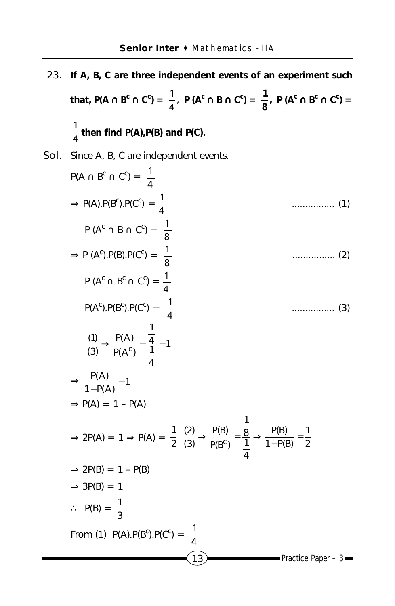- 23. **If A, B, C are three independent events of an experiment such that, P(A ∩ B<sup>c</sup> ∩ C<sup>c</sup>) =**  $\frac{1}{4}$ **, P (A<sup>c</sup> ∩ B ∩ C<sup>c</sup>) =**  $\frac{1}{8}$ **, P (A<sup>c</sup> ∩ B<sup>c</sup> ∩ C<sup>c</sup>) = 1 <sup>4</sup> then find P(A),P(B) and P(C).**
- Sol. Since A, B, C are independent events.

P(A ∩ B<sup>c</sup> ∩ C<sup>c</sup>) = 
$$
\frac{1}{4}
$$
  
\n⇒ P(A).P(B<sup>c</sup>).P(C<sup>c</sup>) =  $\frac{1}{8}$   
\n⇒ P (A<sup>c</sup>).P(B).P(C<sup>c</sup>) =  $\frac{1}{8}$   
\n⇒ P (A<sup>c</sup>).P(B).P(C<sup>c</sup>) =  $\frac{1}{4}$   
\n $P(Ac ∩ Bc ∩ Cc) = \frac{1}{4}$   
\n $P(Ac).P(Bc).P(Cc) = \frac{1}{4}$   
\n $\frac{1}{3} \Rightarrow \frac{P(A)}{P(Ac)} = \frac{\frac{1}{4}}{\frac{1}{4}} = 1$   
\n⇒  $\frac{P(A)}{1-P(A)} = 1$   
\n⇒ P(A) = 1 – P(A)  
\n⇒ 2P(A) = 1 ⇒ P(A) =  $\frac{1}{2} \frac{(2)}{(3)} \Rightarrow \frac{P(B)}{P(Bc)} = \frac{\frac{1}{8}}{\frac{1}{4}} \Rightarrow \frac{P(B)}{1-P(B)} = \frac{1}{2}$   
\n⇒ 2P(B) = 1 – P(B)  
\n⇒ 3P(B) = 1  
\n∴ P(B) =  $\frac{1}{3}$   
\nFrom (1) P(A).P(B<sup>c</sup>).P(C<sup>c</sup>) =  $\frac{1}{4}$   
\n13